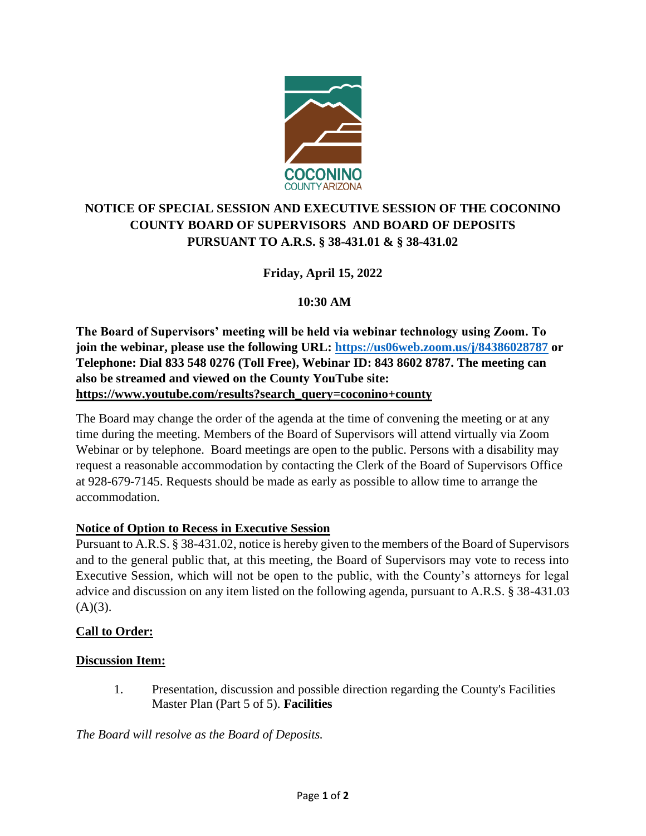

# **NOTICE OF SPECIAL SESSION AND EXECUTIVE SESSION OF THE COCONINO COUNTY BOARD OF SUPERVISORS AND BOARD OF DEPOSITS PURSUANT TO A.R.S. § 38-431.01 & § 38-431.02**

## **Friday, April 15, 2022**

## **10:30 AM**

**The Board of Supervisors' meeting will be held via webinar technology using Zoom. To join the webinar, please use the following URL:<https://us06web.zoom.us/j/84386028787> or Telephone: Dial 833 548 0276 (Toll Free), Webinar ID: 843 8602 8787. The meeting can also be streamed and viewed on the County YouTube site: [https://www.youtube.com/results?search\\_query=coconino+county](https://www.youtube.com/results?search_query=coconino+county)**

The Board may change the order of the agenda at the time of convening the meeting or at any time during the meeting. Members of the Board of Supervisors will attend virtually via Zoom Webinar or by telephone. Board meetings are open to the public. Persons with a disability may request a reasonable accommodation by contacting the Clerk of the Board of Supervisors Office at 928-679-7145. Requests should be made as early as possible to allow time to arrange the accommodation.

### **Notice of Option to Recess in Executive Session**

Pursuant to A.R.S. § 38-431.02, notice is hereby given to the members of the Board of Supervisors and to the general public that, at this meeting, the Board of Supervisors may vote to recess into Executive Session, which will not be open to the public, with the County's attorneys for legal advice and discussion on any item listed on the following agenda, pursuant to A.R.S. § 38-431.03  $(A)(3)$ .

### **Call to Order:**

### **Discussion Item:**

1. Presentation, discussion and possible direction regarding the County's Facilities Master Plan (Part 5 of 5). **Facilities**

*The Board will resolve as the Board of Deposits.*